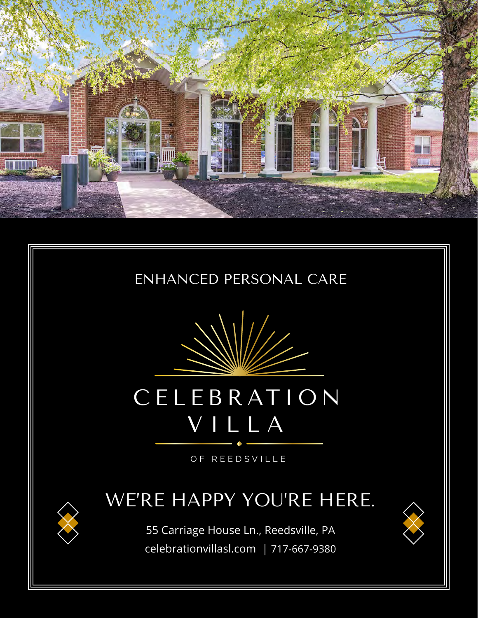





# **CELEBRATION** VILLA

OF REEDSVILLE

### WE'RE HAPPY YOU'RE HERE.

55 Carriage House Ln., Reedsville, PA celebrationvillasl.com | 717-667-9380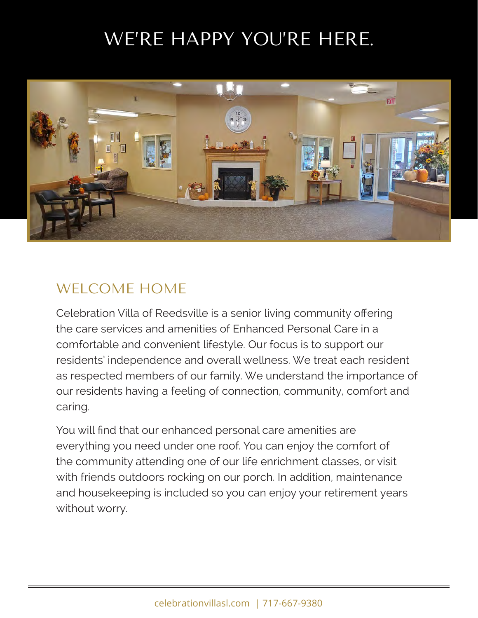## WE'RE HAPPY YOU'RE HERE.



#### WELCOME HOME

Celebration Villa of Reedsville is a senior living community offering the care services and amenities of Enhanced Personal Care in a comfortable and convenient lifestyle. Our focus is to support our residents' independence and overall wellness. We treat each resident as respected members of our family. We understand the importance of our residents having a feeling of connection, community, comfort and caring.

You will find that our enhanced personal care amenities are everything you need under one roof. You can enjoy the comfort of the community attending one of our life enrichment classes, or visit with friends outdoors rocking on our porch. In addition, maintenance and housekeeping is included so you can enjoy your retirement years without worry.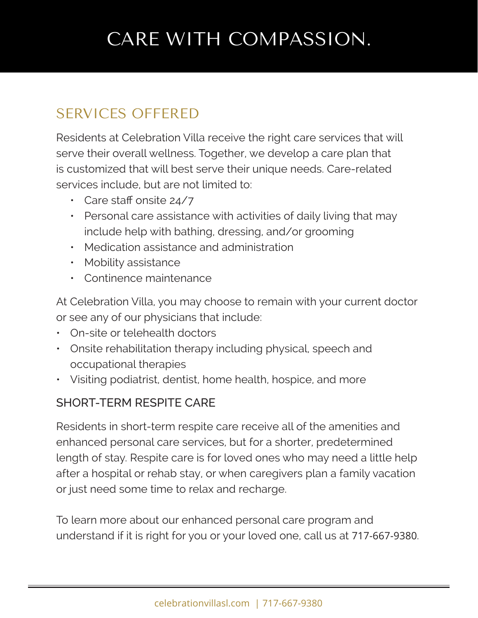## CARE WITH COMPASSION.

### SERVICES OFFERED

Residents at Celebration Villa receive the right care services that will serve their overall wellness. Together, we develop a care plan that is customized that will best serve their unique needs. Care-related services include, but are not limited to:

- Care staff onsite 24/7
- Personal care assistance with activities of daily living that may include help with bathing, dressing, and/or grooming
- Medication assistance and administration
- Mobility assistance
- Continence maintenance

At Celebration Villa, you may choose to remain with your current doctor or see any of our physicians that include:

- On-site or telehealth doctors
- Onsite rehabilitation therapy including physical, speech and occupational therapies
- Visiting podiatrist, dentist, home health, hospice, and more

#### SHORT-TERM RESPITE CARE

Residents in short-term respite care receive all of the amenities and enhanced personal care services, but for a shorter, predetermined length of stay. Respite care is for loved ones who may need a little help after a hospital or rehab stay, or when caregivers plan a family vacation or just need some time to relax and recharge.

To learn more about our enhanced personal care program and understand if it is right for you or your loved one, call us at 717-667-9380.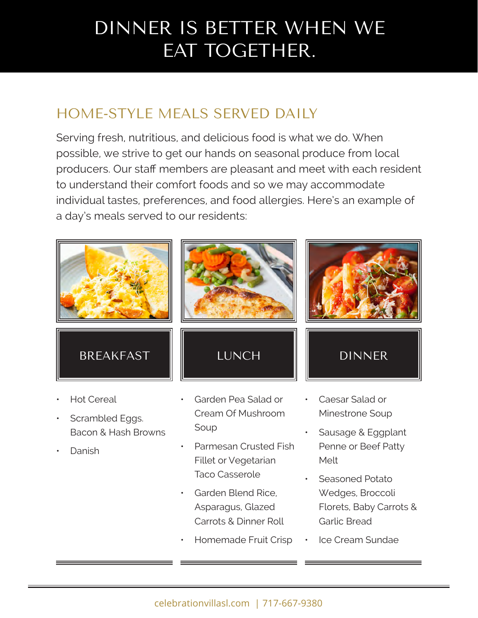## DINNER IS BETTER WHEN WE EAT TOGETHER.

### HOME-STYLE MEALS SERVED DAILY

Serving fresh, nutritious, and delicious food is what we do. When possible, we strive to get our hands on seasonal produce from local producers. Our staff members are pleasant and meet with each resident to understand their comfort foods and so we may accommodate individual tastes, preferences, and food allergies. Here's an example of a day's meals served to our residents:



- Scrambled Eggs. Bacon & Hash Browns
- Danish

Cream Of Mushroom Soup

- Parmesan Crusted Fish Fillet or Vegetarian Taco Casserole
- Garden Blend Rice, Asparagus, Glazed Carrots & Dinner Roll
- Homemade Fruit Crisp
- Minestrone Soup
- Sausage & Eggplant Penne or Beef Patty Melt
- Seasoned Potato Wedges, Broccoli Florets, Baby Carrots & Garlic Bread
- Ice Cream Sundae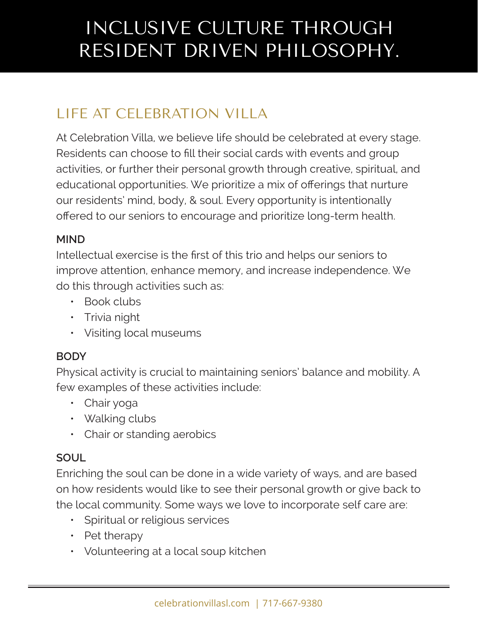## INCLUSIVE CULTURE THROUGH RESIDENT DRIVEN PHILOSOPHY.

### LIFE AT CELEBRATION VILLA

At Celebration Villa, we believe life should be celebrated at every stage. Residents can choose to fill their social cards with events and group activities, or further their personal growth through creative, spiritual, and educational opportunities. We prioritize a mix of offerings that nurture our residents' mind, body, & soul. Every opportunity is intentionally offered to our seniors to encourage and prioritize long-term health.

#### **MIND**

Intellectual exercise is the first of this trio and helps our seniors to improve attention, enhance memory, and increase independence. We do this through activities such as:

- Book clubs
- Trivia night
- Visiting local museums

#### **BODY**

Physical activity is crucial to maintaining seniors' balance and mobility. A few examples of these activities include:

- Chair yoga
- Walking clubs
- Chair or standing aerobics

#### **SOUL**

Enriching the soul can be done in a wide variety of ways, and are based on how residents would like to see their personal growth or give back to the local community. Some ways we love to incorporate self care are:

- Spiritual or religious services
- Pet therapy
- Volunteering at a local soup kitchen